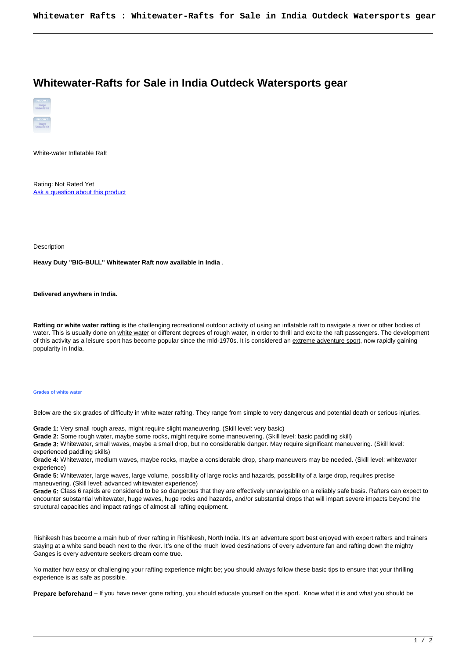## **Whitewater-Rafts for Sale in India Outdeck Watersports gear**



White-water Inflatable Raft

Rating: Not Rated Yet [Ask a question about this product](https://outdeck.com/index.php?option=com_virtuemart&view=productdetails&task=askquestion&virtuemart_product_id=112&virtuemart_category_id=12&tmpl=component) 

Description

**Heavy Duty "BIG-BULL" Whitewater Raft now available in India** .

**Delivered anywhere in India.**

**Rafting or white water rafting** is the challenging recreational [outdoor activity](http://en.wikipedia.org/wiki/Outdoor_activity) of using an inflatable [raft](http://en.wikipedia.org/wiki/Raft) to navigate a [river](http://en.wikipedia.org/wiki/River) or other bodies of water. This is usually done on [white water](http://en.wikipedia.org/wiki/White_water) or different degrees of rough water, in order to thrill and excite the raft passengers. The development of this activity as a leisure sport has become popular since the mid-1970s. It is considered an [extreme adventure sport](http://en.wikipedia.org/wiki/Extreme_sport), now rapidly gaining popularity in India.

## **Grades of white water**

Below are the six grades of difficulty in white water rafting. They range from simple to very dangerous and potential death or serious injuries.

**Grade 1:** Very small rough areas, might require slight maneuvering. (Skill level: very basic)

**Grade 2:** Some rough water, maybe some rocks, might require some maneuvering. (Skill level: basic paddling skill)

**Grade 3:** Whitewater, small waves, maybe a small drop, but no considerable danger. May require significant maneuvering. (Skill level: experienced paddling skills)

**Grade 4:** Whitewater, medium waves, maybe rocks, maybe a considerable drop, sharp maneuvers may be needed. (Skill level: whitewater experience)

**Grade 5:** Whitewater, large waves, large volume, possibility of large rocks and hazards, possibility of a large drop, requires precise maneuvering. (Skill level: advanced whitewater experience)

**Grade 6:** Class 6 rapids are considered to be so dangerous that they are effectively unnavigable on a reliably safe basis. Rafters can expect to encounter substantial whitewater, huge waves, huge rocks and hazards, and/or substantial drops that will impart severe impacts beyond the structural capacities and impact ratings of almost all rafting equipment.

Rishikesh has become a main hub of river rafting in Rishikesh, North India. It's an adventure sport best enjoyed with expert rafters and trainers staying at a white sand beach next to the river. It's one of the much loved destinations of every adventure fan and rafting down the mighty Ganges is every adventure seekers dream come true.

No matter how easy or challenging your rafting experience might be; you should always follow these basic tips to ensure that your thrilling experience is as safe as possible.

**Prepare beforehand** – If you have never gone rafting, you should educate yourself on the sport. Know what it is and what you should be